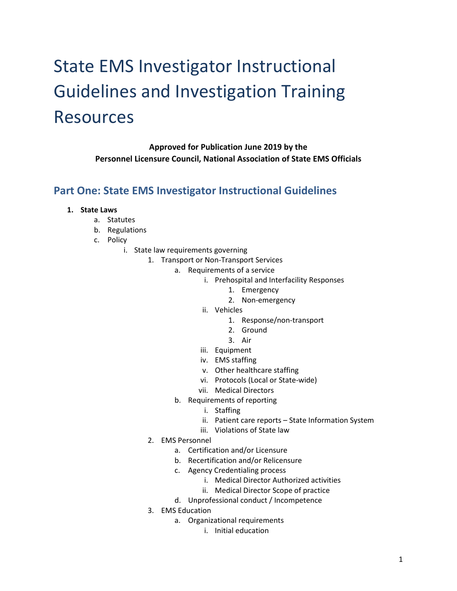# State EMS Investigator Instructional Guidelines and Investigation Training Resources

**Approved for Publication June 2019 by the Personnel Licensure Council, National Association of State EMS Officials**

# **Part One: State EMS Investigator Instructional Guidelines**

- **1. State Laws**
	- a. Statutes
	- b. Regulations
	- c. Policy
		- i. State law requirements governing
			- 1. Transport or Non-Transport Services
				- a. Requirements of a service
					- i. Prehospital and Interfacility Responses
						- 1. Emergency
						- 2. Non-emergency
						- ii. Vehicles
							- 1. Response/non-transport
							- 2. Ground
							- 3. Air
					- iii. Equipment
					- iv. EMS staffing
					- v. Other healthcare staffing
					- vi. Protocols (Local or State-wide)
					- vii. Medical Directors
					- b. Requirements of reporting
						- i. Staffing
						- ii. Patient care reports State Information System
						- iii. Violations of State law
			- 2. EMS Personnel
				- a. Certification and/or Licensure
				- b. Recertification and/or Relicensure
				- c. Agency Credentialing process
					- i. Medical Director Authorized activities
					- ii. Medical Director Scope of practice
				- d. Unprofessional conduct / Incompetence
			- 3. EMS Education
				- a. Organizational requirements
					- i. Initial education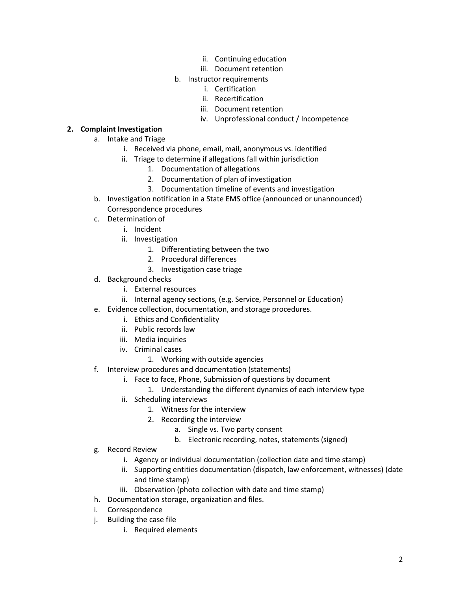- ii. Continuing education
- iii. Document retention
- b. Instructor requirements
	- i. Certification
	- ii. Recertification
	- iii. Document retention
	- iv. Unprofessional conduct / Incompetence

## **2. Complaint Investigation**

- a. Intake and Triage
	- i. Received via phone, email, mail, anonymous vs. identified
	- ii. Triage to determine if allegations fall within jurisdiction
		- 1. Documentation of allegations
		- 2. Documentation of plan of investigation
		- 3. Documentation timeline of events and investigation
- b. Investigation notification in a State EMS office (announced or unannounced) Correspondence procedures
- c. Determination of
	- i. Incident
	- ii. Investigation
		- 1. Differentiating between the two
		- 2. Procedural differences
		- 3. Investigation case triage
- d. Background checks
	- i. External resources
	- ii. Internal agency sections, (e.g. Service, Personnel or Education)
- e. Evidence collection, documentation, and storage procedures.
	- i. Ethics and Confidentiality
	- ii. Public records law
	- iii. Media inquiries
	- iv. Criminal cases
		- 1. Working with outside agencies
- f. Interview procedures and documentation (statements)
	- i. Face to face, Phone, Submission of questions by document
		- 1. Understanding the different dynamics of each interview type
	- ii. Scheduling interviews
		- 1. Witness for the interview
		- 2. Recording the interview
			- a. Single vs. Two party consent
			- b. Electronic recording, notes, statements (signed)
- g. Record Review
	- i. Agency or individual documentation (collection date and time stamp)
	- ii. Supporting entities documentation (dispatch, law enforcement, witnesses) (date and time stamp)
	- iii. Observation (photo collection with date and time stamp)
- h. Documentation storage, organization and files.
- i. Correspondence
- j. Building the case file
	- i. Required elements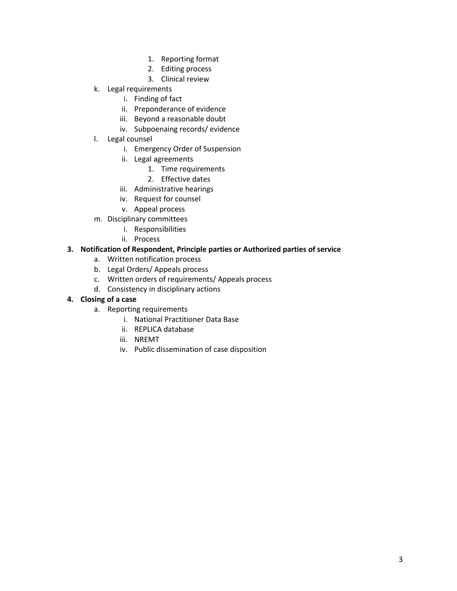- 1. Reporting format
- 2. Editing process
- 3. Clinical review
- k. Legal requirements
	- i. Finding of fact
	- ii. Preponderance of evidence
	- iii. Beyond a reasonable doubt
	- iv. Subpoenaing records/ evidence
- l. Legal counsel
	- i. Emergency Order of Suspension
	- ii. Legal agreements
		- 1. Time requirements
		- 2. Effective dates
	- iii. Administrative hearings
	- iv. Request for counsel
	- v. Appeal process
- m. Disciplinary committees
	- i. Responsibilities
	- ii. Process

## **3. Notification of Respondent, Principle parties or Authorized parties of service**

- a. Written notification process
- b. Legal Orders/ Appeals process
- c. Written orders of requirements/ Appeals process
- d. Consistency in disciplinary actions

## **4. Closing of a case**

- a. Reporting requirements
	- i. National Practitioner Data Base
	- ii. REPLICA database
	- iii. NREMT
	- iv. Public dissemination of case disposition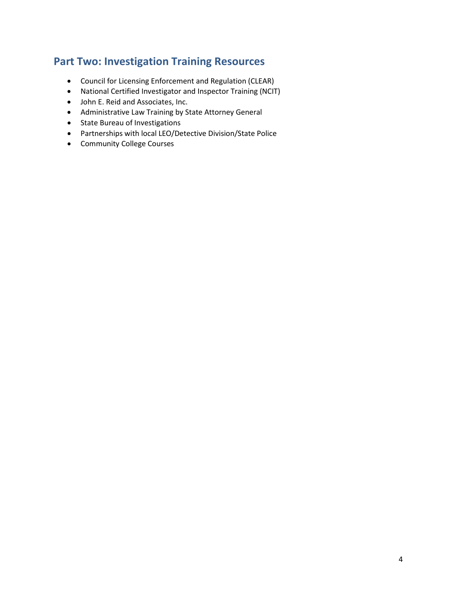# **Part Two: Investigation Training Resources**

- Council for Licensing Enforcement and Regulation (CLEAR)
- National Certified Investigator and Inspector Training (NCIT)
- John E. Reid and Associates, Inc.
- Administrative Law Training by State Attorney General
- State Bureau of Investigations
- Partnerships with local LEO/Detective Division/State Police
- Community College Courses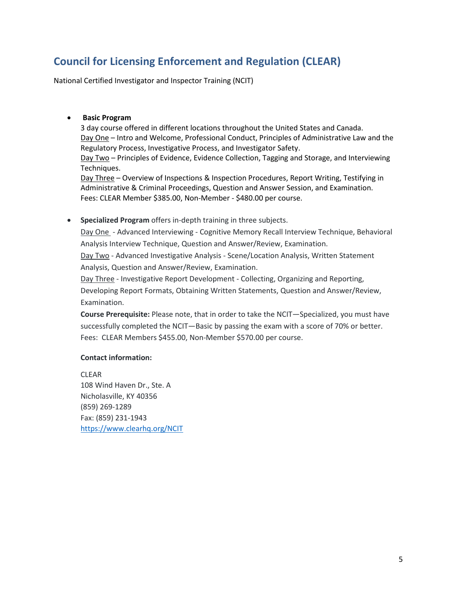# **Council for Licensing Enforcement and Regulation (CLEAR)**

National Certified Investigator and Inspector Training (NCIT)

### • **Basic Program**

3 day course offered in different locations throughout the United States and Canada. Day One – Intro and Welcome, Professional Conduct, Principles of Administrative Law and the Regulatory Process, Investigative Process, and Investigator Safety. Day Two - Principles of Evidence, Evidence Collection, Tagging and Storage, and Interviewing Techniques. Day Three – Overview of Inspections & Inspection Procedures, Report Writing, Testifying in

Administrative & Criminal Proceedings, Question and Answer Session, and Examination. Fees: CLEAR Member \$385.00, Non-Member - \$480.00 per course.

### • **Specialized Program** offers in-depth training in three subjects.

Day One - Advanced Interviewing - Cognitive Memory Recall Interview Technique, Behavioral Analysis Interview Technique, Question and Answer/Review, Examination.

Day Two - Advanced Investigative Analysis - Scene/Location Analysis, Written Statement Analysis, Question and Answer/Review, Examination.

Day Three - Investigative Report Development - Collecting, Organizing and Reporting, Developing Report Formats, Obtaining Written Statements, Question and Answer/Review, Examination.

**Course Prerequisite:** Please note, that in order to take the NCIT—Specialized, you must have successfully completed the NCIT—Basic by passing the exam with a score of 70% or better. Fees: CLEAR Members \$455.00, Non-Member \$570.00 per course.

## **Contact information:**

CLEAR 108 Wind Haven Dr., Ste. A Nicholasville, KY 40356 (859) 269-1289 Fax: (859) 231-1943 <https://www.clearhq.org/NCIT>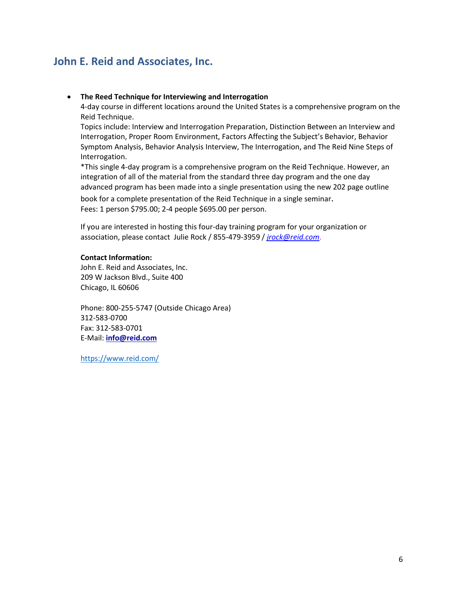# **John E. Reid and Associates, Inc.**

#### • **The Reed Technique for Interviewing and Interrogation**

4-day course in different locations around the United States is a comprehensive program on the Reid Technique.

Topics include: Interview and Interrogation Preparation, Distinction Between an Interview and Interrogation, Proper Room Environment, Factors Affecting the Subject's Behavior, Behavior Symptom Analysis, Behavior Analysis Interview, The Interrogation, and The Reid Nine Steps of Interrogation.

\*This single 4-day program is a comprehensive program on the Reid Technique. However, an integration of all of the material from the standard three day program and the one day advanced program has been made into a single presentation using the new 202 page outline book for a complete presentation of the Reid Technique in a single seminar. Fees: 1 person \$795.00; 2-4 people \$695.00 per person.

If you are interested in hosting this four-day training program for your organization or association, please contact Julie Rock / 855-479-3959 / *[jrock@reid.com](mailto:jrock@reid.com)*.

#### **Contact Information:**

John E. Reid and Associates, Inc. 209 W Jackson Blvd., Suite 400 Chicago, IL 60606

Phone: 800-255-5747 (Outside Chicago Area) 312-583-0700 Fax: 312-583-0701 E-Mail: **[info@reid.com](mailto:info@reid.com)**

<https://www.reid.com/>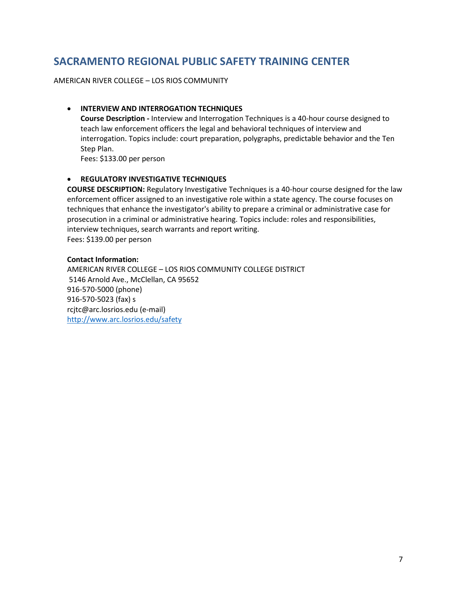# **SACRAMENTO REGIONAL PUBLIC SAFETY TRAINING CENTER**

AMERICAN RIVER COLLEGE – LOS RIOS COMMUNITY

## • **INTERVIEW AND INTERROGATION TECHNIQUES**

**Course Description -** Interview and Interrogation Techniques is a 40-hour course designed to teach law enforcement officers the legal and behavioral techniques of interview and interrogation. Topics include: court preparation, polygraphs, predictable behavior and the Ten Step Plan. Fees: \$133.00 per person

## • **REGULATORY INVESTIGATIVE TECHNIQUES**

**COURSE DESCRIPTION:** Regulatory Investigative Techniques is a 40-hour course designed for the law enforcement officer assigned to an investigative role within a state agency. The course focuses on techniques that enhance the investigator's ability to prepare a criminal or administrative case for prosecution in a criminal or administrative hearing. Topics include: roles and responsibilities, interview techniques, search warrants and report writing. Fees: \$139.00 per person

### **Contact Information:**

AMERICAN RIVER COLLEGE – LOS RIOS COMMUNITY COLLEGE DISTRICT 5146 Arnold Ave., McClellan, CA 95652 916-570-5000 (phone) 916-570-5023 (fax) s rcjtc@arc.losrios.edu (e-mail) <http://www.arc.losrios.edu/safety>